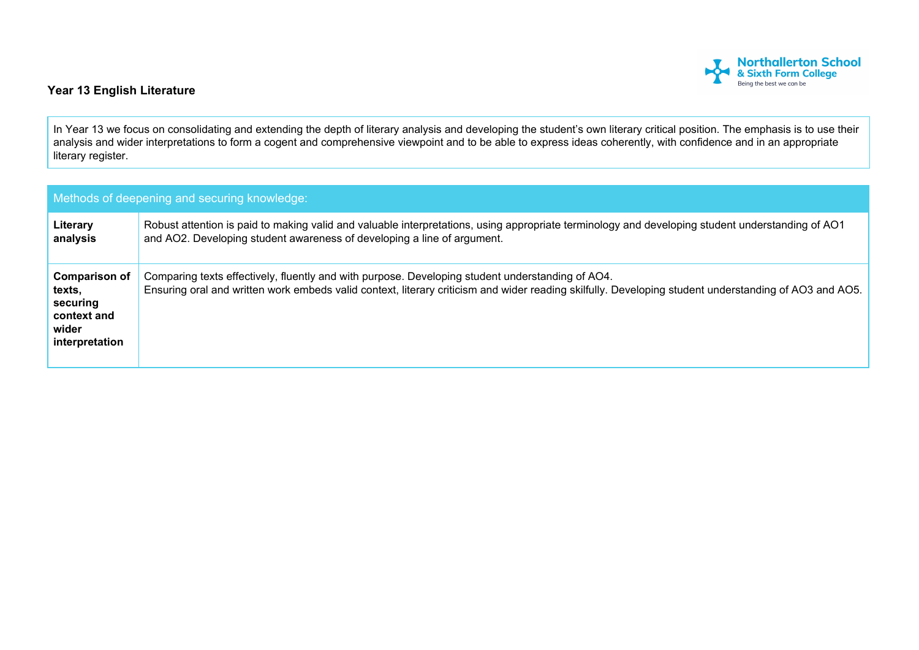

## **Year 13 English Literature**

In Year 13 we focus on consolidating and extending the depth of literary analysis and developing the student's own literary critical position. The emphasis is to use their analysis and wider interpretations to form a cogent and comprehensive viewpoint and to be able to express ideas coherently, with confidence and in an appropriate literary register.

| Methods of deepening and securing knowledge:                                         |                                                                                                                                                                                                                                                           |  |  |  |
|--------------------------------------------------------------------------------------|-----------------------------------------------------------------------------------------------------------------------------------------------------------------------------------------------------------------------------------------------------------|--|--|--|
| Literary<br>analysis                                                                 | Robust attention is paid to making valid and valuable interpretations, using appropriate terminology and developing student understanding of AO1<br>and AO2. Developing student awareness of developing a line of argument.                               |  |  |  |
| <b>Comparison of</b><br>texts.<br>securing<br>context and<br>wider<br>interpretation | Comparing texts effectively, fluently and with purpose. Developing student understanding of AO4.<br>Ensuring oral and written work embeds valid context, literary criticism and wider reading skilfully. Developing student understanding of AO3 and AO5. |  |  |  |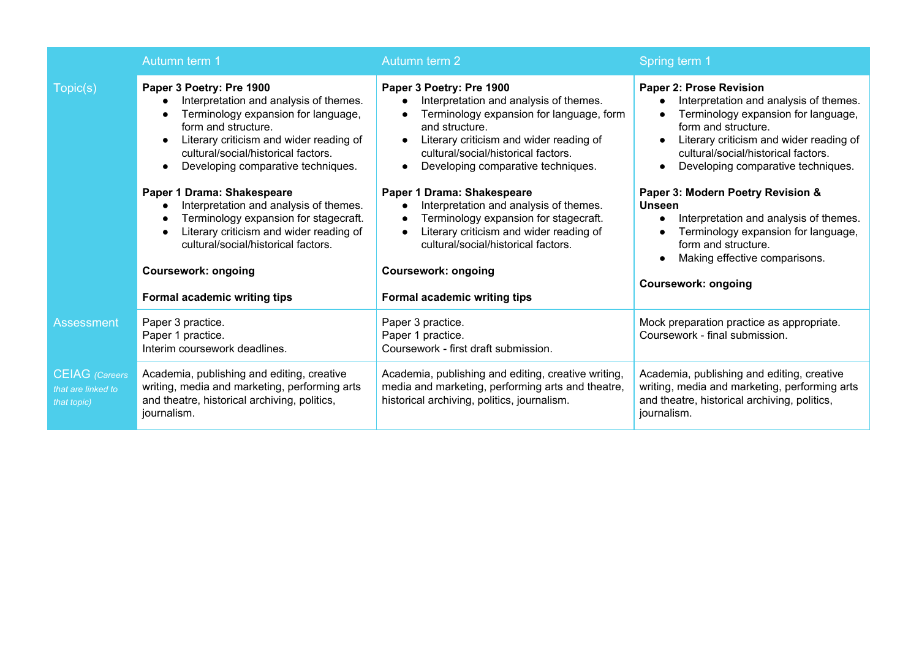|                                                            | Autumn term 1                                                                                                                                                                                                                                                         | Autumn term 2                                                                                                                                                                                                                                            | Spring term 1                                                                                                                                                                                                                                                        |
|------------------------------------------------------------|-----------------------------------------------------------------------------------------------------------------------------------------------------------------------------------------------------------------------------------------------------------------------|----------------------------------------------------------------------------------------------------------------------------------------------------------------------------------------------------------------------------------------------------------|----------------------------------------------------------------------------------------------------------------------------------------------------------------------------------------------------------------------------------------------------------------------|
| Topic(s)                                                   | Paper 3 Poetry: Pre 1900<br>Interpretation and analysis of themes.<br>Terminology expansion for language,<br>form and structure.<br>Literary criticism and wider reading of<br>$\bullet$<br>cultural/social/historical factors.<br>Developing comparative techniques. | Paper 3 Poetry: Pre 1900<br>Interpretation and analysis of themes.<br>Terminology expansion for language, form<br>and structure.<br>Literary criticism and wider reading of<br>cultural/social/historical factors.<br>Developing comparative techniques. | Paper 2: Prose Revision<br>Interpretation and analysis of themes.<br>Terminology expansion for language,<br>form and structure.<br>Literary criticism and wider reading of<br>$\bullet$<br>cultural/social/historical factors.<br>Developing comparative techniques. |
|                                                            | Paper 1 Drama: Shakespeare<br>Interpretation and analysis of themes.<br>Terminology expansion for stagecraft.<br>Literary criticism and wider reading of<br>cultural/social/historical factors.                                                                       | Paper 1 Drama: Shakespeare<br>Interpretation and analysis of themes.<br>Terminology expansion for stagecraft.<br>Literary criticism and wider reading of<br>cultural/social/historical factors.                                                          | Paper 3: Modern Poetry Revision &<br><b>Unseen</b><br>Interpretation and analysis of themes.<br>$\bullet$<br>Terminology expansion for language,<br>form and structure.<br>Making effective comparisons.                                                             |
|                                                            | <b>Coursework: ongoing</b><br>Formal academic writing tips                                                                                                                                                                                                            | <b>Coursework: ongoing</b><br>Formal academic writing tips                                                                                                                                                                                               | <b>Coursework: ongoing</b>                                                                                                                                                                                                                                           |
| <b>Assessment</b>                                          | Paper 3 practice.<br>Paper 1 practice.<br>Interim coursework deadlines.                                                                                                                                                                                               | Paper 3 practice.<br>Paper 1 practice.<br>Coursework - first draft submission.                                                                                                                                                                           | Mock preparation practice as appropriate.<br>Coursework - final submission.                                                                                                                                                                                          |
| <b>CEIAG</b> (Careers<br>that are linked to<br>that topic) | Academia, publishing and editing, creative<br>writing, media and marketing, performing arts<br>and theatre, historical archiving, politics,<br>journalism.                                                                                                            | Academia, publishing and editing, creative writing,<br>media and marketing, performing arts and theatre,<br>historical archiving, politics, journalism.                                                                                                  | Academia, publishing and editing, creative<br>writing, media and marketing, performing arts<br>and theatre, historical archiving, politics,<br>journalism.                                                                                                           |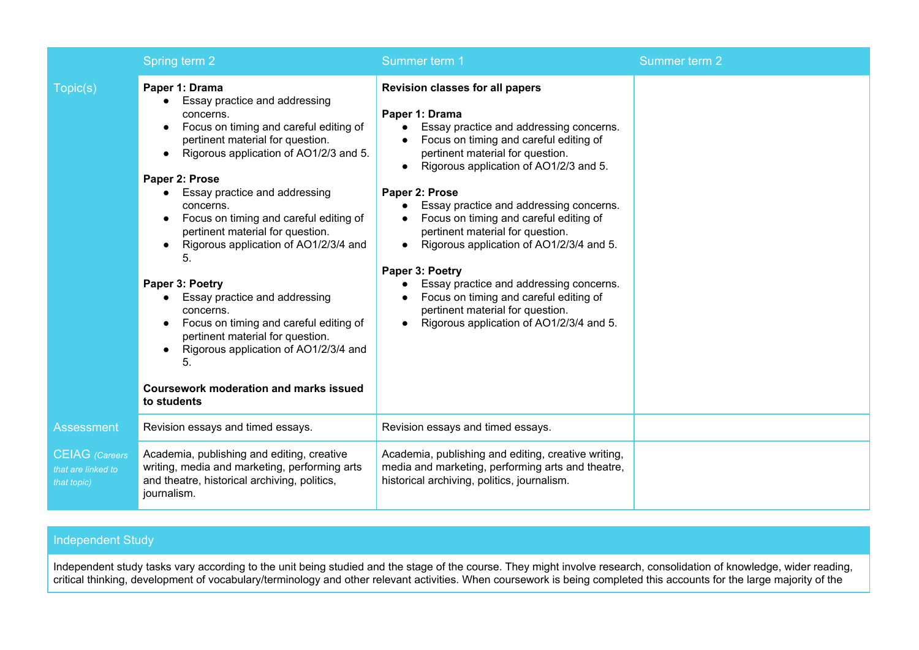|                                                            | Spring term 2                                                                                                                                                                                                                                                                                                                                                                                                                                                                                                                                                                                                                                   | Summer term 1                                                                                                                                                                                                                                                                                                                                                                                                                                                                                                                                                                                                                 | Summer term 2 |
|------------------------------------------------------------|-------------------------------------------------------------------------------------------------------------------------------------------------------------------------------------------------------------------------------------------------------------------------------------------------------------------------------------------------------------------------------------------------------------------------------------------------------------------------------------------------------------------------------------------------------------------------------------------------------------------------------------------------|-------------------------------------------------------------------------------------------------------------------------------------------------------------------------------------------------------------------------------------------------------------------------------------------------------------------------------------------------------------------------------------------------------------------------------------------------------------------------------------------------------------------------------------------------------------------------------------------------------------------------------|---------------|
| Topic(s)                                                   | Paper 1: Drama<br>Essay practice and addressing<br>concerns.<br>Focus on timing and careful editing of<br>pertinent material for question.<br>Rigorous application of AO1/2/3 and 5.<br>Paper 2: Prose<br>Essay practice and addressing<br>concerns.<br>Focus on timing and careful editing of<br>pertinent material for question.<br>Rigorous application of AO1/2/3/4 and<br>5.<br>Paper 3: Poetry<br>Essay practice and addressing<br>concerns.<br>Focus on timing and careful editing of<br>pertinent material for question.<br>Rigorous application of AO1/2/3/4 and<br>5.<br><b>Coursework moderation and marks issued</b><br>to students | Revision classes for all papers<br>Paper 1: Drama<br>Essay practice and addressing concerns.<br>Focus on timing and careful editing of<br>pertinent material for question.<br>Rigorous application of AO1/2/3 and 5.<br>Paper 2: Prose<br>Essay practice and addressing concerns.<br>$\bullet$<br>Focus on timing and careful editing of<br>pertinent material for question.<br>Rigorous application of AO1/2/3/4 and 5.<br>Paper 3: Poetry<br>Essay practice and addressing concerns.<br>Focus on timing and careful editing of<br>pertinent material for question.<br>Rigorous application of AO1/2/3/4 and 5.<br>$\bullet$ |               |
| Assessment                                                 | Revision essays and timed essays.                                                                                                                                                                                                                                                                                                                                                                                                                                                                                                                                                                                                               | Revision essays and timed essays.                                                                                                                                                                                                                                                                                                                                                                                                                                                                                                                                                                                             |               |
| <b>CEIAG</b> (Careers<br>that are linked to<br>that topic) | Academia, publishing and editing, creative<br>writing, media and marketing, performing arts<br>and theatre, historical archiving, politics,<br>journalism.                                                                                                                                                                                                                                                                                                                                                                                                                                                                                      | Academia, publishing and editing, creative writing,<br>media and marketing, performing arts and theatre,<br>historical archiving, politics, journalism.                                                                                                                                                                                                                                                                                                                                                                                                                                                                       |               |

## Independent Study

Independent study tasks vary according to the unit being studied and the stage of the course. They might involve research, consolidation of knowledge, wider reading, critical thinking, development of vocabulary/terminology and other relevant activities. When coursework is being completed this accounts for the large majority of the